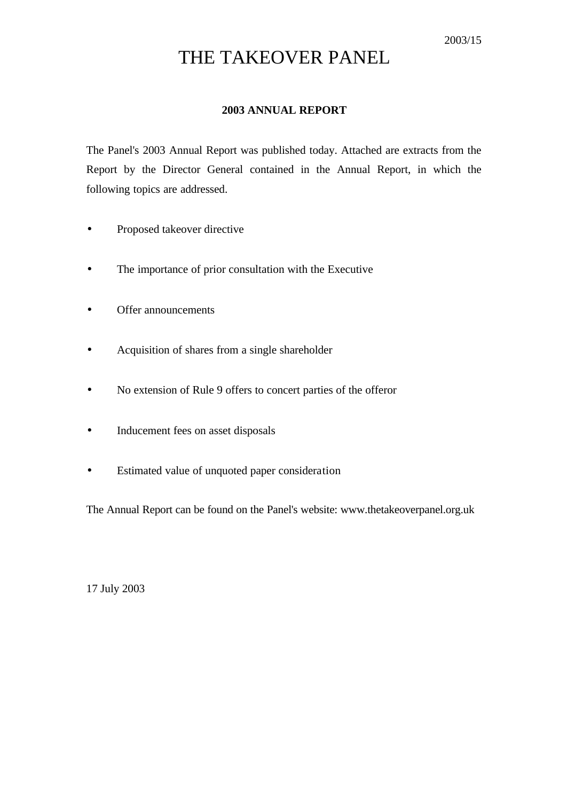# THE TAKEOVER PANEL

### **2003 ANNUAL REPORT**

The Panel's 2003 Annual Report was published today. Attached are extracts from the Report by the Director General contained in the Annual Report, in which the following topics are addressed.

- Proposed takeover directive
- The importance of prior consultation with the Executive
- Offer announcements
- Acquisition of shares from a single shareholder
- No extension of Rule 9 offers to concert parties of the offeror
- Inducement fees on asset disposals
- Estimated value of unquoted paper consideration

The Annual Report can be found on the Panel's website: www.thetakeoverpanel.org.uk

17 July 2003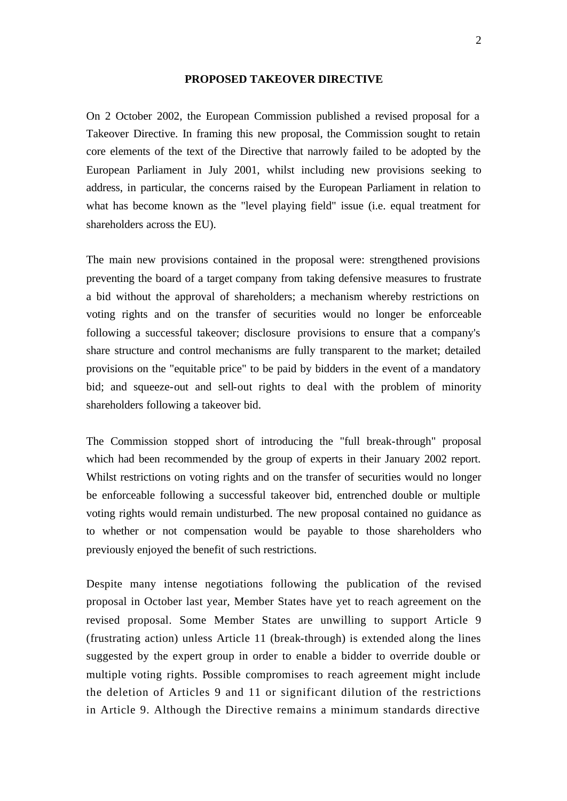#### **PROPOSED TAKEOVER DIRECTIVE**

On 2 October 2002, the European Commission published a revised proposal for a Takeover Directive. In framing this new proposal, the Commission sought to retain core elements of the text of the Directive that narrowly failed to be adopted by the European Parliament in July 2001, whilst including new provisions seeking to address, in particular, the concerns raised by the European Parliament in relation to what has become known as the "level playing field" issue (i.e. equal treatment for shareholders across the EU).

The main new provisions contained in the proposal were: strengthened provisions preventing the board of a target company from taking defensive measures to frustrate a bid without the approval of shareholders; a mechanism whereby restrictions on voting rights and on the transfer of securities would no longer be enforceable following a successful takeover; disclosure provisions to ensure that a company's share structure and control mechanisms are fully transparent to the market; detailed provisions on the "equitable price" to be paid by bidders in the event of a mandatory bid; and squeeze-out and sell-out rights to deal with the problem of minority shareholders following a takeover bid.

The Commission stopped short of introducing the "full break-through" proposal which had been recommended by the group of experts in their January 2002 report. Whilst restrictions on voting rights and on the transfer of securities would no longer be enforceable following a successful takeover bid, entrenched double or multiple voting rights would remain undisturbed. The new proposal contained no guidance as to whether or not compensation would be payable to those shareholders who previously enjoyed the benefit of such restrictions.

Despite many intense negotiations following the publication of the revised proposal in October last year, Member States have yet to reach agreement on the revised proposal. Some Member States are unwilling to support Article 9 (frustrating action) unless Article 11 (break-through) is extended along the lines suggested by the expert group in order to enable a bidder to override double or multiple voting rights. Possible compromises to reach agreement might include the deletion of Articles 9 and 11 or significant dilution of the restrictions in Article 9. Although the Directive remains a minimum standards directive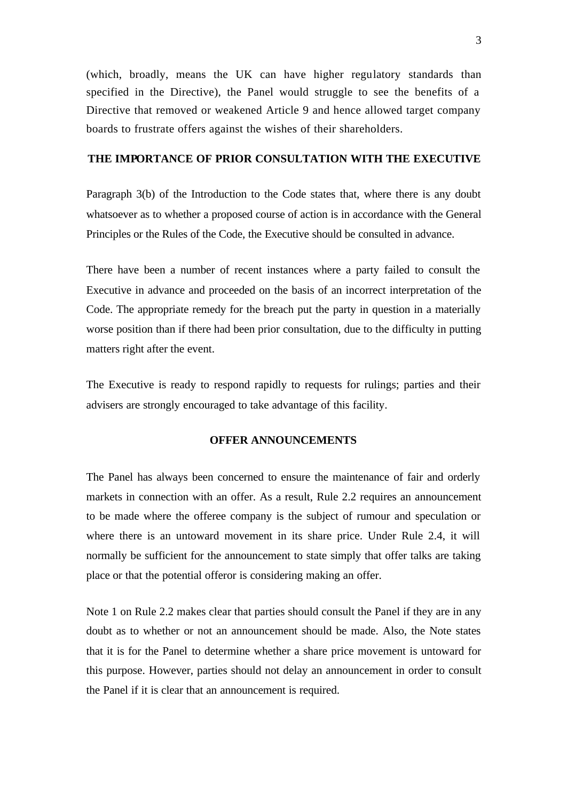(which, broadly, means the UK can have higher regulatory standards than specified in the Directive), the Panel would struggle to see the benefits of a Directive that removed or weakened Article 9 and hence allowed target company boards to frustrate offers against the wishes of their shareholders.

#### **THE IMPORTANCE OF PRIOR CONSULTATION WITH THE EXECUTIVE**

Paragraph 3(b) of the Introduction to the Code states that, where there is any doubt whatsoever as to whether a proposed course of action is in accordance with the General Principles or the Rules of the Code, the Executive should be consulted in advance.

There have been a number of recent instances where a party failed to consult the Executive in advance and proceeded on the basis of an incorrect interpretation of the Code. The appropriate remedy for the breach put the party in question in a materially worse position than if there had been prior consultation, due to the difficulty in putting matters right after the event.

The Executive is ready to respond rapidly to requests for rulings; parties and their advisers are strongly encouraged to take advantage of this facility.

#### **OFFER ANNOUNCEMENTS**

The Panel has always been concerned to ensure the maintenance of fair and orderly markets in connection with an offer. As a result, Rule 2.2 requires an announcement to be made where the offeree company is the subject of rumour and speculation or where there is an untoward movement in its share price. Under Rule 2.4, it will normally be sufficient for the announcement to state simply that offer talks are taking place or that the potential offeror is considering making an offer.

Note 1 on Rule 2.2 makes clear that parties should consult the Panel if they are in any doubt as to whether or not an announcement should be made. Also, the Note states that it is for the Panel to determine whether a share price movement is untoward for this purpose. However, parties should not delay an announcement in order to consult the Panel if it is clear that an announcement is required.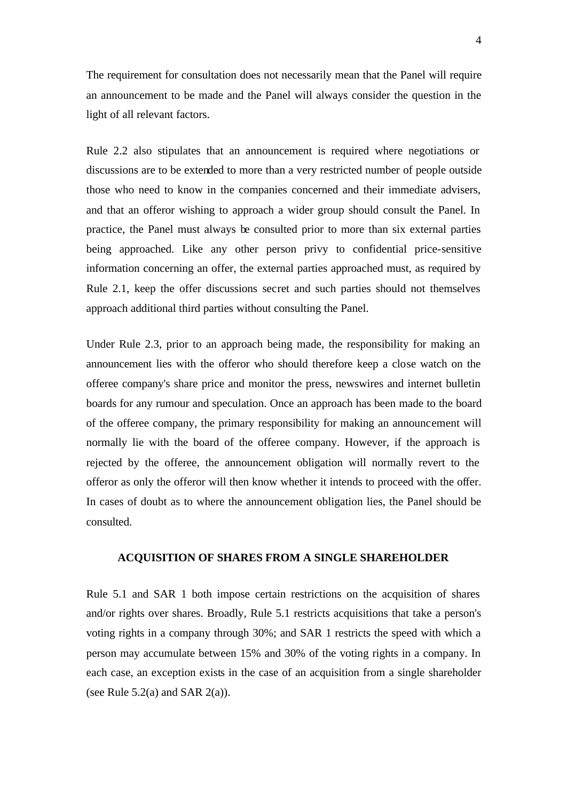The requirement for consultation does not necessarily mean that the Panel will require an announcement to be made and the Panel will always consider the question in the light of all relevant factors.

Rule 2.2 also stipulates that an announcement is required where negotiations or discussions are to be extended to more than a very restricted number of people outside those who need to know in the companies concerned and their immediate advisers, and that an offeror wishing to approach a wider group should consult the Panel. In practice, the Panel must always be consulted prior to more than six external parties being approached. Like any other person privy to confidential price-sensitive information concerning an offer, the external parties approached must, as required by Rule 2.1, keep the offer discussions secret and such parties should not themselves approach additional third parties without consulting the Panel.

Under Rule 2.3, prior to an approach being made, the responsibility for making an announcement lies with the offeror who should therefore keep a close watch on the offeree company's share price and monitor the press, newswires and internet bulletin boards for any rumour and speculation. Once an approach has been made to the board of the offeree company, the primary responsibility for making an announcement will normally lie with the board of the offeree company. However, if the approach is rejected by the offeree, the announcement obligation will normally revert to the offeror as only the offeror will then know whether it intends to proceed with the offer. In cases of doubt as to where the announcement obligation lies, the Panel should be consulted.

#### **ACQUISITION OF SHARES FROM A SINGLE SHAREHOLDER**

Rule 5.1 and SAR 1 both impose certain restrictions on the acquisition of shares and/or rights over shares. Broadly, Rule 5.1 restricts acquisitions that take a person's voting rights in a company through 30%; and SAR 1 restricts the speed with which a person may accumulate between 15% and 30% of the voting rights in a company. In each case, an exception exists in the case of an acquisition from a single shareholder (see Rule  $5.2(a)$  and SAR  $2(a)$ ).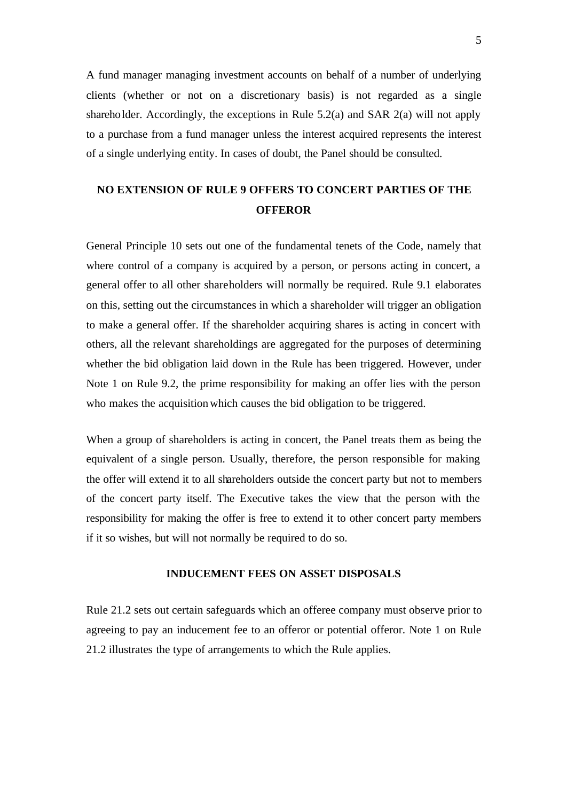A fund manager managing investment accounts on behalf of a number of underlying clients (whether or not on a discretionary basis) is not regarded as a single shareholder. Accordingly, the exceptions in Rule 5.2(a) and SAR 2(a) will not apply to a purchase from a fund manager unless the interest acquired represents the interest of a single underlying entity. In cases of doubt, the Panel should be consulted.

## **NO EXTENSION OF RULE 9 OFFERS TO CONCERT PARTIES OF THE OFFEROR**

General Principle 10 sets out one of the fundamental tenets of the Code, namely that where control of a company is acquired by a person, or persons acting in concert, a general offer to all other shareholders will normally be required. Rule 9.1 elaborates on this, setting out the circumstances in which a shareholder will trigger an obligation to make a general offer. If the shareholder acquiring shares is acting in concert with others, all the relevant shareholdings are aggregated for the purposes of determining whether the bid obligation laid down in the Rule has been triggered. However, under Note 1 on Rule 9.2, the prime responsibility for making an offer lies with the person who makes the acquisition which causes the bid obligation to be triggered.

When a group of shareholders is acting in concert, the Panel treats them as being the equivalent of a single person. Usually, therefore, the person responsible for making the offer will extend it to all shareholders outside the concert party but not to members of the concert party itself. The Executive takes the view that the person with the responsibility for making the offer is free to extend it to other concert party members if it so wishes, but will not normally be required to do so.

#### **INDUCEMENT FEES ON ASSET DISPOSALS**

Rule 21.2 sets out certain safeguards which an offeree company must observe prior to agreeing to pay an inducement fee to an offeror or potential offeror. Note 1 on Rule 21.2 illustrates the type of arrangements to which the Rule applies.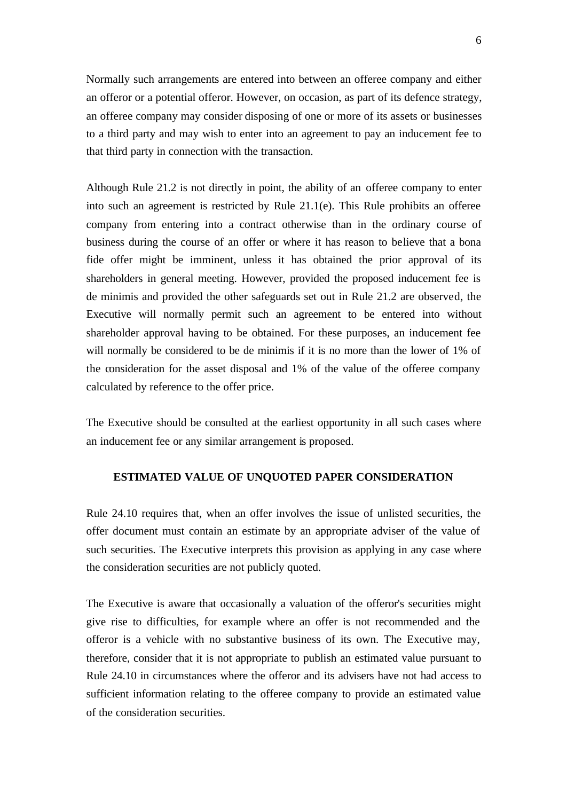Normally such arrangements are entered into between an offeree company and either an offeror or a potential offeror. However, on occasion, as part of its defence strategy, an offeree company may consider disposing of one or more of its assets or businesses to a third party and may wish to enter into an agreement to pay an inducement fee to that third party in connection with the transaction.

Although Rule 21.2 is not directly in point, the ability of an offeree company to enter into such an agreement is restricted by Rule 21.1(e). This Rule prohibits an offeree company from entering into a contract otherwise than in the ordinary course of business during the course of an offer or where it has reason to believe that a bona fide offer might be imminent, unless it has obtained the prior approval of its shareholders in general meeting. However, provided the proposed inducement fee is de minimis and provided the other safeguards set out in Rule 21.2 are observed, the Executive will normally permit such an agreement to be entered into without shareholder approval having to be obtained. For these purposes, an inducement fee will normally be considered to be de minimis if it is no more than the lower of 1% of the consideration for the asset disposal and 1% of the value of the offeree company calculated by reference to the offer price.

The Executive should be consulted at the earliest opportunity in all such cases where an inducement fee or any similar arrangement is proposed.

#### **ESTIMATED VALUE OF UNQUOTED PAPER CONSIDERATION**

Rule 24.10 requires that, when an offer involves the issue of unlisted securities, the offer document must contain an estimate by an appropriate adviser of the value of such securities. The Executive interprets this provision as applying in any case where the consideration securities are not publicly quoted.

The Executive is aware that occasionally a valuation of the offeror's securities might give rise to difficulties, for example where an offer is not recommended and the offeror is a vehicle with no substantive business of its own. The Executive may, therefore, consider that it is not appropriate to publish an estimated value pursuant to Rule 24.10 in circumstances where the offeror and its advisers have not had access to sufficient information relating to the offeree company to provide an estimated value of the consideration securities.